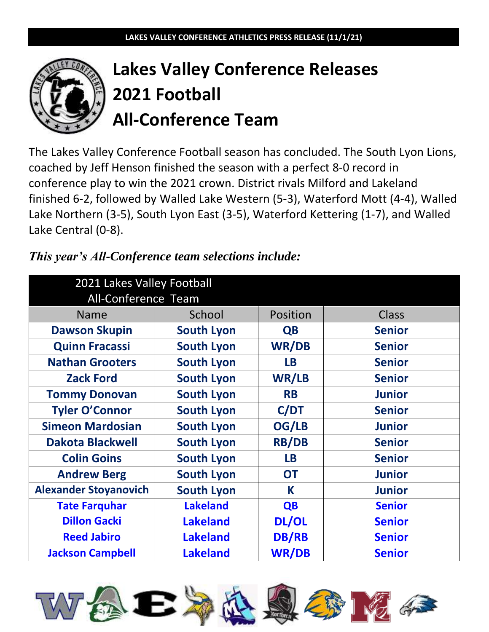

# **Lakes Valley Conference Releases 2021 Football All-Conference Team**

The Lakes Valley Conference Football season has concluded. The South Lyon Lions, coached by Jeff Henson finished the season with a perfect 8-0 record in conference play to win the 2021 crown. District rivals Milford and Lakeland finished 6-2, followed by Walled Lake Western (5-3), Waterford Mott (4-4), Walled Lake Northern (3-5), South Lyon East (3-5), Waterford Kettering (1-7), and Walled Lake Central (0-8).

| 2021 Lakes Valley Football<br>All-Conference Team |                   |              |               |
|---------------------------------------------------|-------------------|--------------|---------------|
| <b>Name</b>                                       | School            | Position     | Class         |
| <b>Dawson Skupin</b>                              | <b>South Lyon</b> | <b>QB</b>    | <b>Senior</b> |
| <b>Quinn Fracassi</b>                             | <b>South Lyon</b> | <b>WR/DB</b> | <b>Senior</b> |
| <b>Nathan Grooters</b>                            | <b>South Lyon</b> | <b>LB</b>    | <b>Senior</b> |
| <b>Zack Ford</b>                                  | <b>South Lyon</b> | WR/LB        | <b>Senior</b> |
| <b>Tommy Donovan</b>                              | <b>South Lyon</b> | <b>RB</b>    | <b>Junior</b> |
| <b>Tyler O'Connor</b>                             | <b>South Lyon</b> | C/DT         | <b>Senior</b> |
| <b>Simeon Mardosian</b>                           | <b>South Lyon</b> | OG/LB        | <b>Junior</b> |
| <b>Dakota Blackwell</b>                           | <b>South Lyon</b> | <b>RB/DB</b> | <b>Senior</b> |
| <b>Colin Goins</b>                                | <b>South Lyon</b> | <b>LB</b>    | <b>Senior</b> |
| <b>Andrew Berg</b>                                | <b>South Lyon</b> | <b>OT</b>    | <b>Junior</b> |
| <b>Alexander Stoyanovich</b>                      | <b>South Lyon</b> | K            | <b>Junior</b> |
| <b>Tate Farquhar</b>                              | <b>Lakeland</b>   | <b>QB</b>    | <b>Senior</b> |
| <b>Dillon Gacki</b>                               | <b>Lakeland</b>   | DL/OL        | <b>Senior</b> |
| <b>Reed Jabiro</b>                                | <b>Lakeland</b>   | <b>DB/RB</b> | <b>Senior</b> |
| <b>Jackson Campbell</b>                           | <b>Lakeland</b>   | <b>WR/DB</b> | <b>Senior</b> |

# *This year's All-Conference team selections include:*

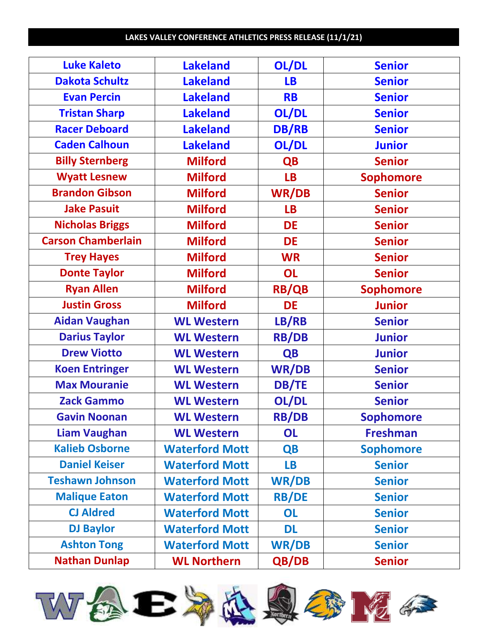| <b>Luke Kaleto</b>        | <b>Lakeland</b>       | OL/DL        | <b>Senior</b>    |
|---------------------------|-----------------------|--------------|------------------|
|                           |                       |              |                  |
| <b>Dakota Schultz</b>     | <b>Lakeland</b>       | <b>LB</b>    | <b>Senior</b>    |
| <b>Evan Percin</b>        | <b>Lakeland</b>       | <b>RB</b>    | <b>Senior</b>    |
| <b>Tristan Sharp</b>      | <b>Lakeland</b>       | OL/DL        | <b>Senior</b>    |
| <b>Racer Deboard</b>      | <b>Lakeland</b>       | <b>DB/RB</b> | <b>Senior</b>    |
| <b>Caden Calhoun</b>      | <b>Lakeland</b>       | OL/DL        | <b>Junior</b>    |
| <b>Billy Sternberg</b>    | <b>Milford</b>        | <b>QB</b>    | <b>Senior</b>    |
| <b>Wyatt Lesnew</b>       | <b>Milford</b>        | <b>LB</b>    | <b>Sophomore</b> |
| <b>Brandon Gibson</b>     | <b>Milford</b>        | <b>WR/DB</b> | <b>Senior</b>    |
| <b>Jake Pasuit</b>        | <b>Milford</b>        | <b>LB</b>    | <b>Senior</b>    |
| <b>Nicholas Briggs</b>    | <b>Milford</b>        | <b>DE</b>    | <b>Senior</b>    |
| <b>Carson Chamberlain</b> | <b>Milford</b>        | DE           | <b>Senior</b>    |
| <b>Trey Hayes</b>         | <b>Milford</b>        | <b>WR</b>    | <b>Senior</b>    |
| <b>Donte Taylor</b>       | <b>Milford</b>        | <b>OL</b>    | <b>Senior</b>    |
| <b>Ryan Allen</b>         | <b>Milford</b>        | <b>RB/QB</b> | <b>Sophomore</b> |
| <b>Justin Gross</b>       | <b>Milford</b>        | <b>DE</b>    | <b>Junior</b>    |
| <b>Aidan Vaughan</b>      | <b>WL Western</b>     | LB/RB        | <b>Senior</b>    |
| <b>Darius Taylor</b>      | <b>WL Western</b>     | <b>RB/DB</b> | <b>Junior</b>    |
| <b>Drew Viotto</b>        | <b>WL Western</b>     | <b>QB</b>    | <b>Junior</b>    |
| <b>Koen Entringer</b>     | <b>WL Western</b>     | <b>WR/DB</b> | <b>Senior</b>    |
| <b>Max Mouranie</b>       | <b>WL Western</b>     | <b>DB/TE</b> | <b>Senior</b>    |
| <b>Zack Gammo</b>         | <b>WL Western</b>     | OL/DL        | <b>Senior</b>    |
| <b>Gavin Noonan</b>       | <b>WL Western</b>     | <b>RB/DB</b> | <b>Sophomore</b> |
| <b>Liam Vaughan</b>       | <b>WL Western</b>     | OL           | <b>Freshman</b>  |
| <b>Kalieb Osborne</b>     | <b>Waterford Mott</b> | <b>QB</b>    | <b>Sophomore</b> |
| <b>Daniel Keiser</b>      | <b>Waterford Mott</b> | <b>LB</b>    | <b>Senior</b>    |
| <b>Teshawn Johnson</b>    | <b>Waterford Mott</b> | <b>WR/DB</b> | <b>Senior</b>    |
| <b>Malique Eaton</b>      | <b>Waterford Mott</b> | <b>RB/DE</b> | <b>Senior</b>    |
| <b>CJ Aldred</b>          | <b>Waterford Mott</b> | OL           | <b>Senior</b>    |
| <b>DJ Baylor</b>          | <b>Waterford Mott</b> | <b>DL</b>    | <b>Senior</b>    |
| <b>Ashton Tong</b>        | <b>Waterford Mott</b> | <b>WR/DB</b> | <b>Senior</b>    |
| <b>Nathan Dunlap</b>      | <b>WL Northern</b>    | QB/DB        | <b>Senior</b>    |











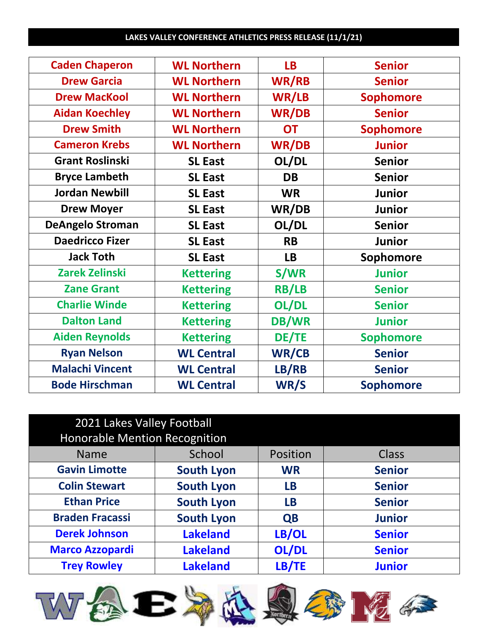| <b>Caden Chaperon</b>   | <b>WL Northern</b> | <b>LB</b>    | <b>Senior</b>    |
|-------------------------|--------------------|--------------|------------------|
| <b>Drew Garcia</b>      | <b>WL Northern</b> | <b>WR/RB</b> | <b>Senior</b>    |
| <b>Drew MacKool</b>     | <b>WL Northern</b> | WR/LB        | <b>Sophomore</b> |
| <b>Aidan Koechley</b>   | <b>WL Northern</b> | <b>WR/DB</b> | <b>Senior</b>    |
| <b>Drew Smith</b>       | <b>WL Northern</b> | <b>OT</b>    | <b>Sophomore</b> |
| <b>Cameron Krebs</b>    | <b>WL Northern</b> | <b>WR/DB</b> | <b>Junior</b>    |
| <b>Grant Roslinski</b>  | <b>SL East</b>     | OL/DL        | <b>Senior</b>    |
| <b>Bryce Lambeth</b>    | <b>SL East</b>     | <b>DB</b>    | <b>Senior</b>    |
| <b>Jordan Newbill</b>   | <b>SL East</b>     | <b>WR</b>    | <b>Junior</b>    |
| <b>Drew Moyer</b>       | <b>SL East</b>     | WR/DB        | <b>Junior</b>    |
| <b>DeAngelo Stroman</b> | <b>SL East</b>     | OL/DL        | <b>Senior</b>    |
| <b>Daedricco Fizer</b>  | <b>SL East</b>     | <b>RB</b>    | <b>Junior</b>    |
| <b>Jack Toth</b>        | <b>SL East</b>     | <b>LB</b>    | Sophomore        |
| <b>Zarek Zelinski</b>   | <b>Kettering</b>   | <b>S/WR</b>  | <b>Junior</b>    |
| <b>Zane Grant</b>       | <b>Kettering</b>   | <b>RB/LB</b> | <b>Senior</b>    |
| <b>Charlie Winde</b>    | <b>Kettering</b>   | OL/DL        | <b>Senior</b>    |
| <b>Dalton Land</b>      | <b>Kettering</b>   | <b>DB/WR</b> | <b>Junior</b>    |
| <b>Aiden Reynolds</b>   | <b>Kettering</b>   | DE/TE        | <b>Sophomore</b> |
| <b>Ryan Nelson</b>      | <b>WL Central</b>  | WR/CB        | <b>Senior</b>    |
| <b>Malachi Vincent</b>  | <b>WL Central</b>  | LB/RB        | <b>Senior</b>    |
| <b>Bode Hirschman</b>   | <b>WL Central</b>  | WR/S         | <b>Sophomore</b> |
|                         |                    |              |                  |

| 2021 Lakes Valley Football           |                   |           |               |
|--------------------------------------|-------------------|-----------|---------------|
| <b>Honorable Mention Recognition</b> |                   |           |               |
| <b>Name</b>                          | School            | Position  | <b>Class</b>  |
| <b>Gavin Limotte</b>                 | <b>South Lyon</b> | <b>WR</b> | <b>Senior</b> |
| <b>Colin Stewart</b>                 | <b>South Lyon</b> | <b>LB</b> | <b>Senior</b> |
| <b>Ethan Price</b>                   | <b>South Lyon</b> | <b>LB</b> | <b>Senior</b> |
| <b>Braden Fracassi</b>               | <b>South Lyon</b> | <b>QB</b> | <b>Junior</b> |
| <b>Derek Johnson</b>                 | <b>Lakeland</b>   | LB/OL     | <b>Senior</b> |
| <b>Marco Azzopardi</b>               | <b>Lakeland</b>   | OL/DL     | <b>Senior</b> |
| <b>Trey Rowley</b>                   | <b>Lakeland</b>   | LB/TE     | <b>Junior</b> |











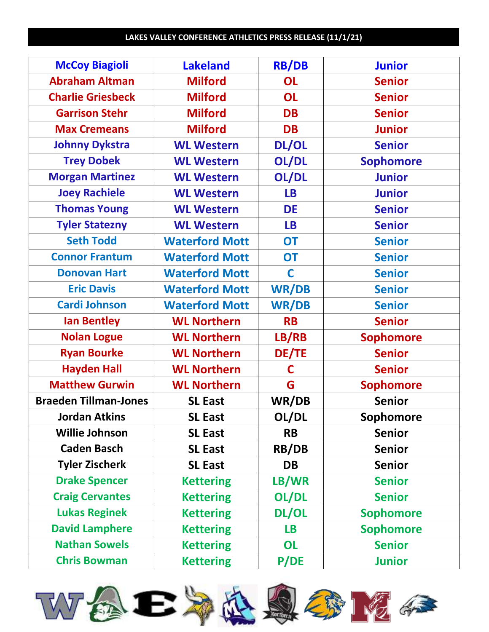| <b>McCoy Biagioli</b>        | <b>Lakeland</b>       | <b>RB/DB</b> | <b>Junior</b>    |
|------------------------------|-----------------------|--------------|------------------|
| <b>Abraham Altman</b>        | <b>Milford</b>        | <b>OL</b>    | <b>Senior</b>    |
| <b>Charlie Griesbeck</b>     | <b>Milford</b>        | <b>OL</b>    | <b>Senior</b>    |
| <b>Garrison Stehr</b>        | <b>Milford</b>        | <b>DB</b>    | <b>Senior</b>    |
| <b>Max Cremeans</b>          | <b>Milford</b>        | <b>DB</b>    | <b>Junior</b>    |
| <b>Johnny Dykstra</b>        | <b>WL Western</b>     | <b>DL/OL</b> | <b>Senior</b>    |
| <b>Trey Dobek</b>            | <b>WL Western</b>     | OL/DL        | <b>Sophomore</b> |
| <b>Morgan Martinez</b>       | <b>WL Western</b>     | OL/DL        | <b>Junior</b>    |
| <b>Joey Rachiele</b>         | <b>WL Western</b>     | <b>LB</b>    | <b>Junior</b>    |
| <b>Thomas Young</b>          | <b>WL Western</b>     | <b>DE</b>    | <b>Senior</b>    |
| <b>Tyler Statezny</b>        | <b>WL Western</b>     | <b>LB</b>    | <b>Senior</b>    |
| <b>Seth Todd</b>             | <b>Waterford Mott</b> | <b>OT</b>    | <b>Senior</b>    |
| <b>Connor Frantum</b>        | <b>Waterford Mott</b> | <b>OT</b>    | <b>Senior</b>    |
| <b>Donovan Hart</b>          | <b>Waterford Mott</b> | $\mathbf C$  | <b>Senior</b>    |
| <b>Eric Davis</b>            | <b>Waterford Mott</b> | <b>WR/DB</b> | <b>Senior</b>    |
| <b>Cardi Johnson</b>         | <b>Waterford Mott</b> | <b>WR/DB</b> | <b>Senior</b>    |
| <b>Ian Bentley</b>           | <b>WL Northern</b>    | <b>RB</b>    | <b>Senior</b>    |
| <b>Nolan Logue</b>           | <b>WL Northern</b>    | LB/RB        | <b>Sophomore</b> |
| <b>Ryan Bourke</b>           | <b>WL Northern</b>    | <b>DE/TE</b> | <b>Senior</b>    |
| <b>Hayden Hall</b>           | <b>WL Northern</b>    | C            | <b>Senior</b>    |
| <b>Matthew Gurwin</b>        | <b>WL Northern</b>    | G            | <b>Sophomore</b> |
| <b>Braeden Tillman-Jones</b> | <b>SL East</b>        | WR/DB        | <b>Senior</b>    |
| <b>Jordan Atkins</b>         | <b>SL East</b>        | OL/DL        | <b>Sophomore</b> |
| <b>Willie Johnson</b>        | <b>SL East</b>        | <b>RB</b>    | <b>Senior</b>    |
| <b>Caden Basch</b>           | <b>SL East</b>        | <b>RB/DB</b> | <b>Senior</b>    |
| <b>Tyler Zischerk</b>        | <b>SL East</b>        | <b>DB</b>    | <b>Senior</b>    |
| <b>Drake Spencer</b>         | <b>Kettering</b>      | LB/WR        | <b>Senior</b>    |
| <b>Craig Cervantes</b>       | <b>Kettering</b>      | OL/DL        | <b>Senior</b>    |
| <b>Lukas Reginek</b>         | <b>Kettering</b>      | <b>DL/OL</b> | <b>Sophomore</b> |
| <b>David Lamphere</b>        | <b>Kettering</b>      | <b>LB</b>    | <b>Sophomore</b> |
| <b>Nathan Sowels</b>         | <b>Kettering</b>      | OL           | <b>Senior</b>    |
| <b>Chris Bowman</b>          | <b>Kettering</b>      | <b>P/DE</b>  | <b>Junior</b>    |